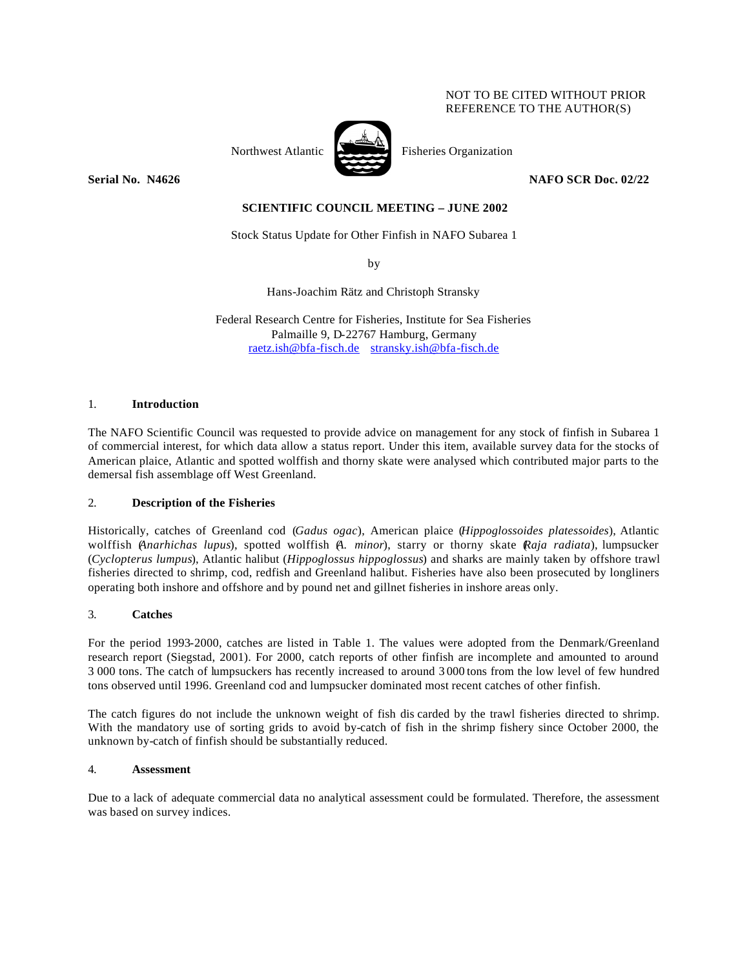### NOT TO BE CITED WITHOUT PRIOR REFERENCE TO THE AUTHOR(S)



Northwest Atlantic Fisheries Organization

**Serial No. 14626** NAFO SCR Doc. 02/22

# **SCIENTIFIC COUNCIL MEETING – JUNE 2002**

Stock Status Update for Other Finfish in NAFO Subarea 1

by

Hans-Joachim Rätz and Christoph Stransky

Federal Research Centre for Fisheries, Institute for Sea Fisheries Palmaille 9, D-22767 Hamburg, Germany raetz.ish@bfa-fisch.de stransky.ish@bfa-fisch.de

### 1. **Introduction**

The NAFO Scientific Council was requested to provide advice on management for any stock of finfish in Subarea 1 of commercial interest, for which data allow a status report. Under this item, available survey data for the stocks of American plaice, Atlantic and spotted wolffish and thorny skate were analysed which contributed major parts to the demersal fish assemblage off West Greenland.

### 2. **Description of the Fisheries**

Historically, catches of Greenland cod (*Gadus ogac*), American plaice (*Hippoglossoides platessoides*), Atlantic wolffish (*Anarhichas lupus*), spotted wolffish (*A. minor*), starry or thorny skate (*Raja radiata*), lumpsucker (*Cyclopterus lumpus*), Atlantic halibut (*Hippoglossus hippoglossus*) and sharks are mainly taken by offshore trawl fisheries directed to shrimp, cod, redfish and Greenland halibut. Fisheries have also been prosecuted by longliners operating both inshore and offshore and by pound net and gillnet fisheries in inshore areas only.

### 3. **Catches**

For the period 1993-2000, catches are listed in Table 1. The values were adopted from the Denmark/Greenland research report (Siegstad, 2001). For 2000, catch reports of other finfish are incomplete and amounted to around 3 000 tons. The catch of lumpsuckers has recently increased to around 3 000 tons from the low level of few hundred tons observed until 1996. Greenland cod and lumpsucker dominated most recent catches of other finfish.

The catch figures do not include the unknown weight of fish dis carded by the trawl fisheries directed to shrimp. With the mandatory use of sorting grids to avoid by-catch of fish in the shrimp fishery since October 2000, the unknown by-catch of finfish should be substantially reduced.

### 4. **Assessment**

Due to a lack of adequate commercial data no analytical assessment could be formulated. Therefore, the assessment was based on survey indices.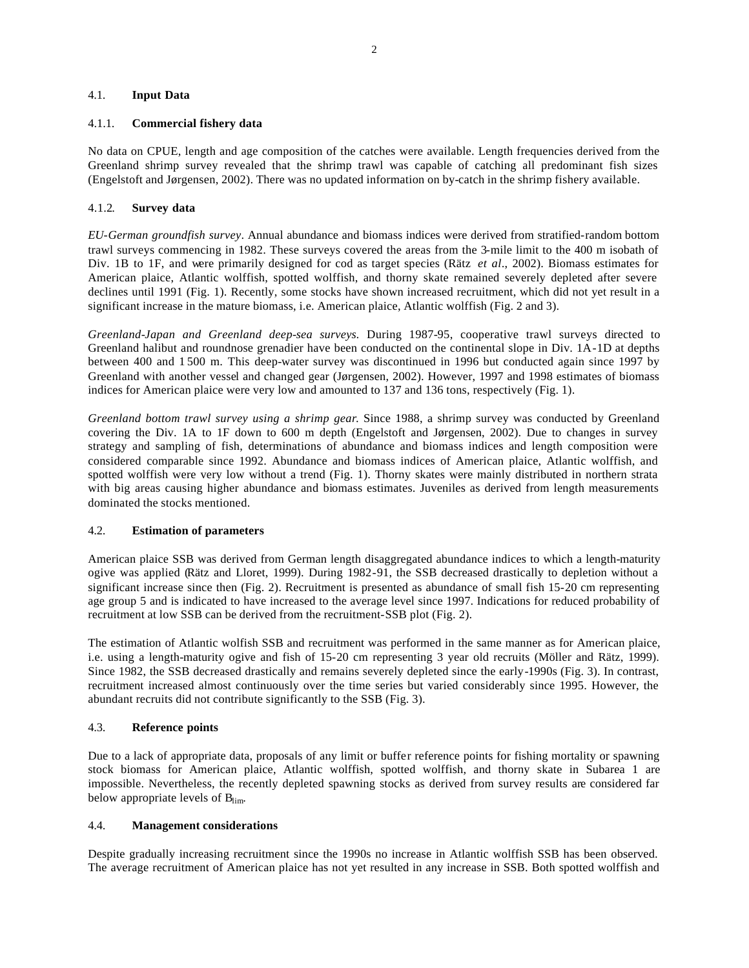### 4.1. **Input Data**

### 4.1.1. **Commercial fishery data**

No data on CPUE, length and age composition of the catches were available. Length frequencies derived from the Greenland shrimp survey revealed that the shrimp trawl was capable of catching all predominant fish sizes (Engelstoft and Jørgensen, 2002). There was no updated information on by-catch in the shrimp fishery available.

### 4.1.2. **Survey data**

*EU-German groundfish survey*. Annual abundance and biomass indices were derived from stratified-random bottom trawl surveys commencing in 1982. These surveys covered the areas from the 3-mile limit to the 400 m isobath of Div. 1B to 1F, and were primarily designed for cod as target species (Rätz *et al*., 2002). Biomass estimates for American plaice, Atlantic wolffish, spotted wolffish, and thorny skate remained severely depleted after severe declines until 1991 (Fig. 1). Recently, some stocks have shown increased recruitment, which did not yet result in a significant increase in the mature biomass, i.e. American plaice, Atlantic wolffish (Fig. 2 and 3).

*Greenland-Japan and Greenland deep-sea surveys.* During 1987-95, cooperative trawl surveys directed to Greenland halibut and roundnose grenadier have been conducted on the continental slope in Div. 1A-1D at depths between 400 and 1 500 m. This deep-water survey was discontinued in 1996 but conducted again since 1997 by Greenland with another vessel and changed gear (Jørgensen, 2002). However, 1997 and 1998 estimates of biomass indices for American plaice were very low and amounted to 137 and 136 tons, respectively (Fig. 1).

*Greenland bottom trawl survey using a shrimp gear*. Since 1988, a shrimp survey was conducted by Greenland covering the Div. 1A to 1F down to 600 m depth (Engelstoft and Jørgensen, 2002). Due to changes in survey strategy and sampling of fish, determinations of abundance and biomass indices and length composition were considered comparable since 1992. Abundance and biomass indices of American plaice, Atlantic wolffish, and spotted wolffish were very low without a trend (Fig. 1). Thorny skates were mainly distributed in northern strata with big areas causing higher abundance and biomass estimates. Juveniles as derived from length measurements dominated the stocks mentioned.

### 4.2. **Estimation of parameters**

American plaice SSB was derived from German length disaggregated abundance indices to which a length-maturity ogive was applied (Rätz and Lloret, 1999). During 1982-91, the SSB decreased drastically to depletion without a significant increase since then (Fig. 2). Recruitment is presented as abundance of small fish 15-20 cm representing age group 5 and is indicated to have increased to the average level since 1997. Indications for reduced probability of recruitment at low SSB can be derived from the recruitment-SSB plot (Fig. 2).

The estimation of Atlantic wolfish SSB and recruitment was performed in the same manner as for American plaice, i.e. using a length-maturity ogive and fish of 15-20 cm representing 3 year old recruits (Möller and Rätz, 1999). Since 1982, the SSB decreased drastically and remains severely depleted since the early-1990s (Fig. 3). In contrast, recruitment increased almost continuously over the time series but varied considerably since 1995. However, the abundant recruits did not contribute significantly to the SSB (Fig. 3).

# 4.3. **Reference points**

Due to a lack of appropriate data, proposals of any limit or buffer reference points for fishing mortality or spawning stock biomass for American plaice, Atlantic wolffish, spotted wolffish, and thorny skate in Subarea 1 are impossible. Nevertheless, the recently depleted spawning stocks as derived from survey results are considered far below appropriate levels of B<sub>lim</sub>.

#### 4.4. **Management considerations**

Despite gradually increasing recruitment since the 1990s no increase in Atlantic wolffish SSB has been observed. The average recruitment of American plaice has not yet resulted in any increase in SSB. Both spotted wolffish and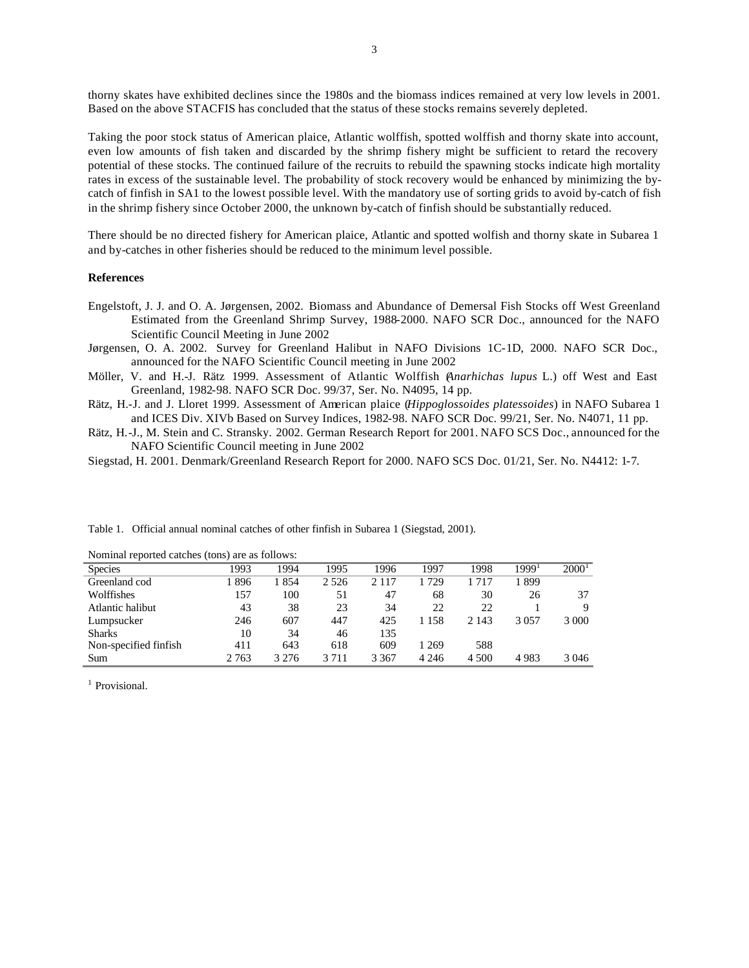thorny skates have exhibited declines since the 1980s and the biomass indices remained at very low levels in 2001. Based on the above STACFIS has concluded that the status of these stocks remains severely depleted.

Taking the poor stock status of American plaice, Atlantic wolffish, spotted wolffish and thorny skate into account, even low amounts of fish taken and discarded by the shrimp fishery might be sufficient to retard the recovery potential of these stocks. The continued failure of the recruits to rebuild the spawning stocks indicate high mortality rates in excess of the sustainable level. The probability of stock recovery would be enhanced by minimizing the bycatch of finfish in SA1 to the lowest possible level. With the mandatory use of sorting grids to avoid by-catch of fish in the shrimp fishery since October 2000, the unknown by-catch of finfish should be substantially reduced.

There should be no directed fishery for American plaice, Atlantic and spotted wolfish and thorny skate in Subarea 1 and by-catches in other fisheries should be reduced to the minimum level possible.

#### **References**

- Engelstoft, J. J. and O. A. Jørgensen, 2002. Biomass and Abundance of Demersal Fish Stocks off West Greenland Estimated from the Greenland Shrimp Survey, 1988-2000. NAFO SCR Doc., announced for the NAFO Scientific Council Meeting in June 2002
- Jørgensen, O. A. 2002. Survey for Greenland Halibut in NAFO Divisions 1C-1D, 2000. NAFO SCR Doc., announced for the NAFO Scientific Council meeting in June 2002
- Möller, V. and H.-J. Rätz 1999. Assessment of Atlantic Wolffish (*Anarhichas lupus* L.) off West and East Greenland, 1982-98. NAFO SCR Doc. 99/37, Ser. No. N4095, 14 pp.

Rätz, H.-J. and J. Lloret 1999. Assessment of American plaice (*Hippoglossoides platessoides*) in NAFO Subarea 1 and ICES Div. XIVb Based on Survey Indices, 1982-98. NAFO SCR Doc. 99/21, Ser. No. N4071, 11 pp.

Rätz, H.-J., M. Stein and C. Stransky. 2002. German Research Report for 2001. NAFO SCS Doc., announced for the NAFO Scientific Council meeting in June 2002

Siegstad, H. 2001. Denmark/Greenland Research Report for 2000. NAFO SCS Doc. 01/21, Ser. No. N4412: 1-7.

| Nominal reported catches (tons) are as follows: |         |         |         |         |         |         |                   |                   |
|-------------------------------------------------|---------|---------|---------|---------|---------|---------|-------------------|-------------------|
| <b>Species</b>                                  | 1993    | 1994    | 1995    | 1996    | 1997    | 1998    | 1999 <sup>1</sup> | 2000 <sup>1</sup> |
| Greenland cod                                   | 1896    | 1854    | 2 5 2 6 | 2 1 1 7 | 729     | 1 7 1 7 | 1 899             |                   |
| Wolffishes                                      | 157     | 100     | 51      | 47      | 68      | 30      | 26                | 37                |
| Atlantic halibut                                | 43      | 38      | 23      | 34      | 22      | 22      |                   | 9                 |
| Lumpsucker                                      | 246     | 607     | 447     | 425     | 1 1 5 8 | 2 1 4 3 | 3 0 5 7           | 3 0 0 0           |
| <b>Sharks</b>                                   | 10      | 34      | 46      | 135     |         |         |                   |                   |
| Non-specified finfish                           | 411     | 643     | 618     | 609     | 1 269   | 588     |                   |                   |
| Sum                                             | 2 7 6 3 | 3 2 7 6 | 3 7 1 1 | 3 3 6 7 | 4 2 4 6 | 4 500   | 4983              | 3 046             |

Table 1. Official annual nominal catches of other finfish in Subarea 1 (Siegstad, 2001).

<sup>1</sup> Provisional.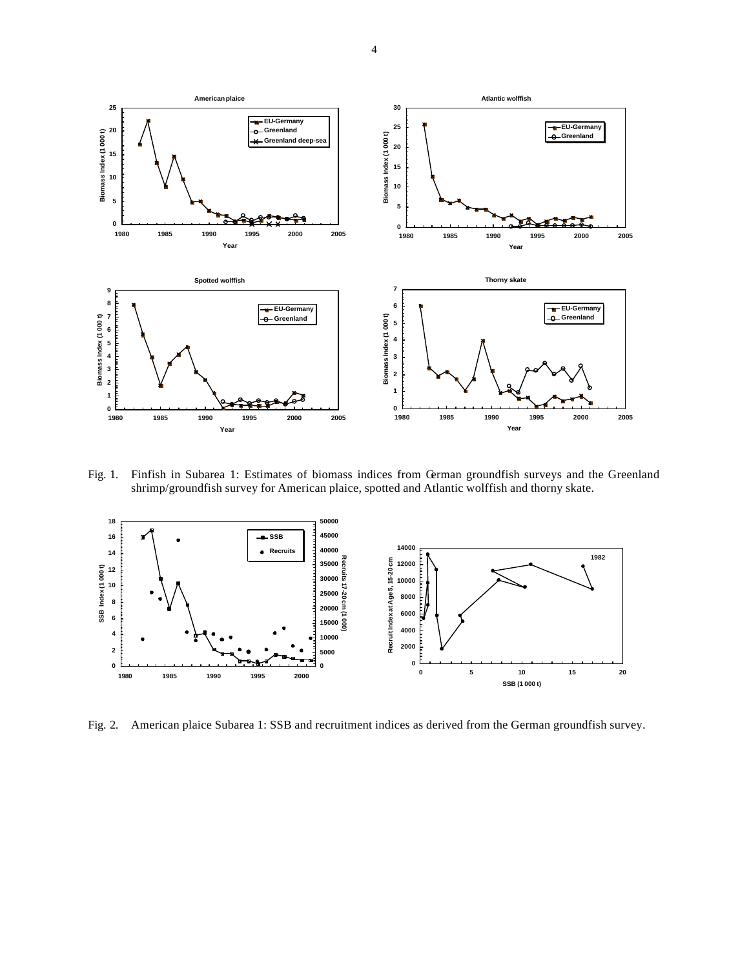

Fig. 1. Finfish in Subarea 1: Estimates of biomass indices from German groundfish surveys and the Greenland shrimp/groundfish survey for American plaice, spotted and Atlantic wolffish and thorny skate.



Fig. 2. American plaice Subarea 1: SSB and recruitment indices as derived from the German groundfish survey.